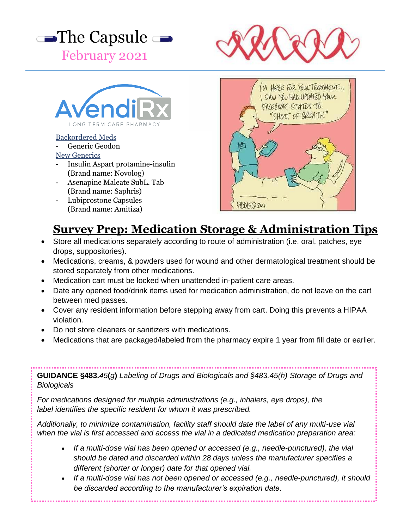





## Backordered Meds

Generic Geodon

#### New Generics

- Insulin Aspart protamine-insulin (Brand name: Novolog)
- Asenapine Maleate SubL. Tab (Brand name: Saphris)
- Lubiprostone Capsules (Brand name: Amitiza)



# **Survey Prep: Medication Storage & Administration Tips**

- Store all medications separately according to route of administration (i.e. oral, patches, eye drops, suppositories).
- Medications, creams, & powders used for wound and other dermatological treatment should be stored separately from other medications.
- Medication cart must be locked when unattended in-patient care areas.
- Date any opened food/drink items used for medication administration, do not leave on the cart between med passes.
- Cover any resident information before stepping away from cart. Doing this prevents a HIPAA violation.
- Do not store cleaners or sanitizers with medications.
- Medications that are packaged/labeled from the pharmacy expire 1 year from fill date or earlier.

**GUIDANCE §483.***45***(***g***)** *Labeling of Drugs and Biologicals and §483.45(h) Storage of Drugs and Biologicals*

*For medications designed for multiple administrations (e.g., inhalers, eye drops), the label identifies the specific resident for whom it was prescribed.*

*Additionally, to minimize contamination, facility staff should date the label of any multi-use vial when the vial is first accessed and access the vial in a dedicated medication preparation area:*

- *If a multi-dose vial has been opened or accessed (e.g., needle-punctured), the vial should be dated and discarded within 28 days unless the manufacturer specifies a different (shorter or longer) date for that opened vial.*
- *If a multi-dose vial has not been opened or accessed (e.g., needle-punctured), it should be discarded according to the manufacturer's expiration date.*